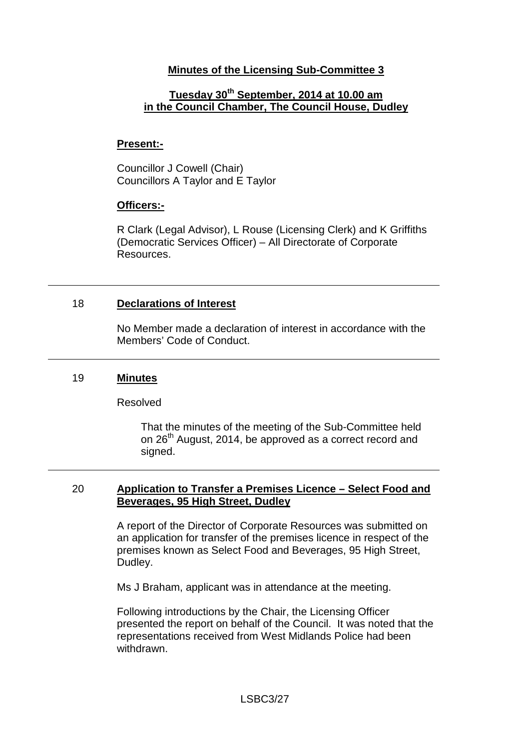## **Minutes of the Licensing Sub-Committee 3**

# **Tuesday 30th September, 2014 at 10.00 am in the Council Chamber, The Council House, Dudley**

### **Present:-**

Councillor J Cowell (Chair) Councillors A Taylor and E Taylor

### **Officers:-**

R Clark (Legal Advisor), L Rouse (Licensing Clerk) and K Griffiths (Democratic Services Officer) – All Directorate of Corporate Resources.

## 18 **Declarations of Interest**

No Member made a declaration of interest in accordance with the Members' Code of Conduct.

### 19 **Minutes**

### Resolved

That the minutes of the meeting of the Sub-Committee held on 26<sup>th</sup> August, 2014, be approved as a correct record and signed.

### 20 **Application to Transfer a Premises Licence – Select Food and Beverages, 95 High Street, Dudley**

A report of the Director of Corporate Resources was submitted on an application for transfer of the premises licence in respect of the premises known as Select Food and Beverages, 95 High Street, Dudley.

Ms J Braham, applicant was in attendance at the meeting.

Following introductions by the Chair, the Licensing Officer presented the report on behalf of the Council. It was noted that the representations received from West Midlands Police had been withdrawn.